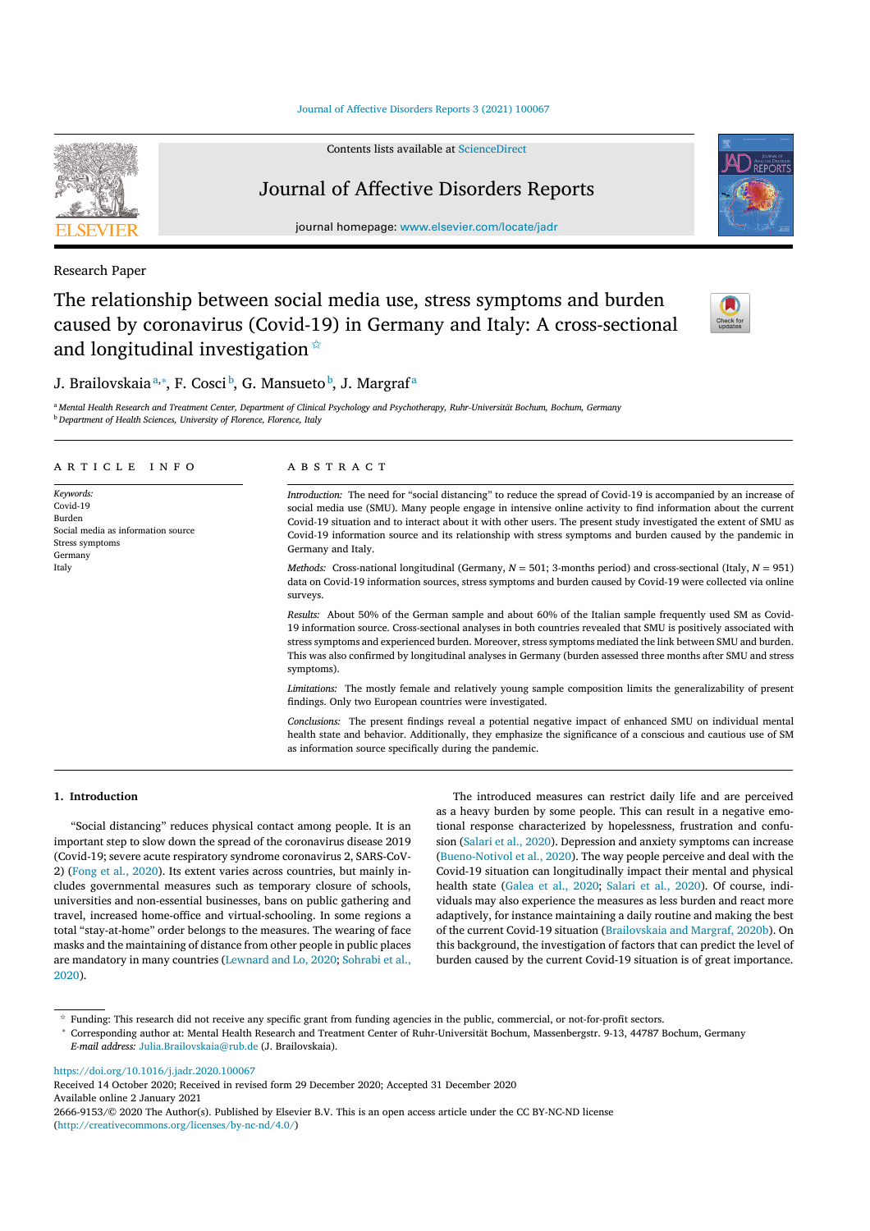Journal of Affective Disorders Reports 3 (2021) 100067

Contents lists available at ScienceDirect

# Journal of Affective Disorders Reports

journal homepage: www.elsevier.com/locate/jadr

Research Paper

The relationship between social media use, stress symptoms and burden caused by coronavirus (Covid-19) in Germany and Italy: A cross-sectional and longitudinal investigation  $\hat{X}$ 

# J. Brailovskaiaª∗\*, F. Cosci <sup>b</sup>, G. Mansueto <sup>b</sup>, J. Margraf<sup>a</sup>

a Mental Health Research and Treatment Center, Department of Clinical Psychology and Psychotherapy, Ruhr-Universität Bochum, Bochum, Germany <sup>b</sup> *Department of Health Sciences, University of Florence, Florence, Italy*

#### a r t i c l e i n f o *Keywords:* Covid-19 Burden Social media as information source Stress symptoms Germany Italy A B S T R A C T *Introduction:* The need for "social distancing" to reduce the spread of Covid-19 is accompanied by an increase of social media use (SMU). Many people engage in intensive online activity to find information about the current Covid-19 situation and to interact about it with other users. The present study investigated the extent of SMU as Covid-19 information source and its relationship with stress symptoms and burden caused by the pandemic in Germany and Italy. *Methods:* Cross-national longitudinal (Germany, *N* = 501; 3-months period) and cross-sectional (Italy, *N* = 951) data on Covid-19 information sources, stress symptoms and burden caused by Covid-19 were collected via online surveys. *Results:* About 50% of the German sample and about 60% of the Italian sample frequently used SM as Covid-19 information source. Cross-sectional analyses in both countries revealed that SMU is positively associated with stress symptoms and experienced burden. Moreover, stress symptoms mediated the link between SMU and burden. This was also confirmed by longitudinal analyses in Germany (burden assessed three months after SMU and stress symptoms). *Limitations:* The mostly female and relatively young sample composition limits the generalizability of present findings. Only two European countries were investigated. *Conclusions:* The present findings reveal a potential negative impact of enhanced SMU on individual mental health state and behavior. Additionally, they emphasize the significance of a conscious and cautious use of SM

as information source specifically during the pandemic.

# **1. Introduction**

"Social distancing" reduces physical contact among people. It is an important step to slow down the spread of the coronavirus disease 2019 (Covid-19; severe acute respiratory syndrome coronavirus 2, SARS-CoV-2) (Fong et al., 2020). Its extent varies across countries, but mainly includes governmental measures such as temporary closure of schools, universities and non-essential businesses, bans on public gathering and travel, increased home-office and virtual-schooling. In some regions a total "stay-at-home" order belongs to the measures. The wearing of face masks and the maintaining of distance from other people in public places are mandatory in many countries (Lewnard and Lo, 2020; Sohrabi et al., 2020).

The introduced measures can restrict daily life and are perceived as a heavy burden by some people. This can result in a negative emotional response characterized by hopelessness, frustration and confusion (Salari et al., 2020). Depression and anxiety symptoms can increase (Bueno-Notivol et al., 2020). The way people perceive and deal with the Covid-19 situation can longitudinally impact their mental and physical health state (Galea et al., 2020; Salari et al., 2020). Of course, individuals may also experience the measures as less burden and react more adaptively, for instance maintaining a daily routine and making the best of the current Covid-19 situation (Brailovskaia and Margraf, 2020b). On this background, the investigation of factors that can predict the level of burden caused by the current Covid-19 situation is of great importance.

https://doi.org/10.1016/j.jadr.2020.100067

2666-9153/© 2020 The Author(s). Published by Elsevier B.V. This is an open access article under the CC BY-NC-ND license (http://creativecommons.org/licenses/by-nc-nd/4.0/)







 $*$  Funding: This research did not receive any specific grant from funding agencies in the public, commercial, or not-for-profit sectors.

<sup>∗</sup> Corresponding author at: Mental Health Research and Treatment Center of Ruhr-Universität Bochum, Massenbergstr. 9-13, 44787 Bochum, Germany *E-mail address:* Julia.Brailovskaia@rub.de (J. Brailovskaia).

Received 14 October 2020; Received in revised form 29 December 2020; Accepted 31 December 2020 Available online 2 January 2021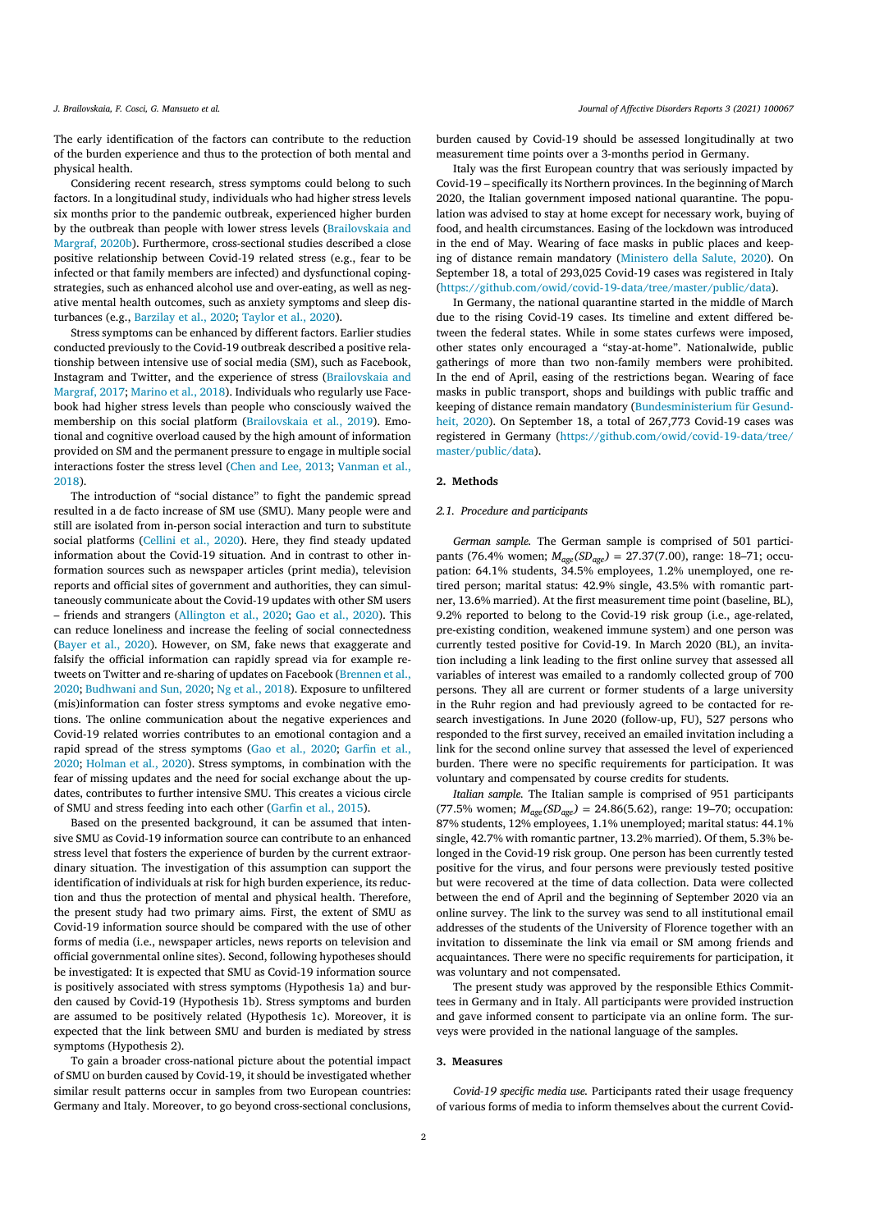The early identification of the factors can contribute to the reduction of the burden experience and thus to the protection of both mental and physical health.

Considering recent research, stress symptoms could belong to such factors. In a longitudinal study, individuals who had higher stress levels six months prior to the pandemic outbreak, experienced higher burden by the outbreak than people with lower stress levels (Brailovskaia and Margraf, 2020b). Furthermore, cross-sectional studies described a close positive relationship between Covid-19 related stress (e.g., fear to be infected or that family members are infected) and dysfunctional copingstrategies, such as enhanced alcohol use and over-eating, as well as negative mental health outcomes, such as anxiety symptoms and sleep disturbances (e.g., Barzilay et al., 2020; Taylor et al., 2020).

Stress symptoms can be enhanced by different factors. Earlier studies conducted previously to the Covid-19 outbreak described a positive relationship between intensive use of social media (SM), such as Facebook, Instagram and Twitter, and the experience of stress (Brailovskaia and Margraf, 2017; Marino et al., 2018). Individuals who regularly use Facebook had higher stress levels than people who consciously waived the membership on this social platform (Brailovskaia et al., 2019). Emotional and cognitive overload caused by the high amount of information provided on SM and the permanent pressure to engage in multiple social interactions foster the stress level (Chen and Lee, 2013; Vanman et al., 2018).

The introduction of "social distance" to fight the pandemic spread resulted in a de facto increase of SM use (SMU). Many people were and still are isolated from in-person social interaction and turn to substitute social platforms (Cellini et al., 2020). Here, they find steady updated information about the Covid-19 situation. And in contrast to other information sources such as newspaper articles (print media), television reports and official sites of government and authorities, they can simultaneously communicate about the Covid-19 updates with other SM users – friends and strangers (Allington et al., 2020; Gao et al., 2020). This can reduce loneliness and increase the feeling of social connectedness (Bayer et al., 2020). However, on SM, fake news that exaggerate and falsify the official information can rapidly spread via for example retweets on Twitter and re-sharing of updates on Facebook (Brennen et al., 2020; Budhwani and Sun, 2020; Ng et al., 2018). Exposure to unfiltered (mis)information can foster stress symptoms and evoke negative emotions. The online communication about the negative experiences and Covid-19 related worries contributes to an emotional contagion and a rapid spread of the stress symptoms (Gao et al., 2020; Garfin et al., 2020; Holman et al., 2020). Stress symptoms, in combination with the fear of missing updates and the need for social exchange about the updates, contributes to further intensive SMU. This creates a vicious circle of SMU and stress feeding into each other (Garfin et al., 2015).

Based on the presented background, it can be assumed that intensive SMU as Covid-19 information source can contribute to an enhanced stress level that fosters the experience of burden by the current extraordinary situation. The investigation of this assumption can support the identification of individuals at risk for high burden experience, its reduction and thus the protection of mental and physical health. Therefore, the present study had two primary aims. First, the extent of SMU as Covid-19 information source should be compared with the use of other forms of media (i.e., newspaper articles, news reports on television and official governmental online sites). Second, following hypotheses should be investigated: It is expected that SMU as Covid-19 information source is positively associated with stress symptoms (Hypothesis 1a) and burden caused by Covid-19 (Hypothesis 1b). Stress symptoms and burden are assumed to be positively related (Hypothesis 1c). Moreover, it is expected that the link between SMU and burden is mediated by stress symptoms (Hypothesis 2).

To gain a broader cross-national picture about the potential impact of SMU on burden caused by Covid-19, it should be investigated whether similar result patterns occur in samples from two European countries: Germany and Italy. Moreover, to go beyond cross-sectional conclusions,

#### J. Brailovskaja, F. Cosci, G. Mansueto et al. (2021) 100067

burden caused by Covid-19 should be assessed longitudinally at two measurement time points over a 3-months period in Germany.

Italy was the first European country that was seriously impacted by Covid-19 – specifically its Northern provinces. In the beginning of March 2020, the Italian government imposed national quarantine. The population was advised to stay at home except for necessary work, buying of food, and health circumstances. Easing of the lockdown was introduced in the end of May. Wearing of face masks in public places and keeping of distance remain mandatory (Ministero della Salute, 2020). On September 18, a total of 293,025 Covid-19 cases was registered in Italy (https://github.com/owid/covid-19-data/tree/master/public/data).

In Germany, the national quarantine started in the middle of March due to the rising Covid-19 cases. Its timeline and extent differed between the federal states. While in some states curfews were imposed, other states only encouraged a "stay-at-home". Nationalwide, public gatherings of more than two non-family members were prohibited. In the end of April, easing of the restrictions began. Wearing of face masks in public transport, shops and buildings with public traffic and keeping of distance remain mandatory (Bundesministerium für Gesundheit, 2020). On September 18, a total of 267,773 Covid-19 cases was registered in Germany (https://github.com/owid/covid-19-data/tree/ master/public/data).

#### **2. Methods**

#### *2.1. Procedure and participants*

*German sample.* The German sample is comprised of 501 participants (76.4% women; *Mage(SDage)* = 27.37(7.00), range: 18–71; occupation: 64.1% students, 34.5% employees, 1.2% unemployed, one retired person; marital status: 42.9% single, 43.5% with romantic partner, 13.6% married). At the first measurement time point (baseline, BL), 9.2% reported to belong to the Covid-19 risk group (i.e., age-related, pre-existing condition, weakened immune system) and one person was currently tested positive for Covid-19. In March 2020 (BL), an invitation including a link leading to the first online survey that assessed all variables of interest was emailed to a randomly collected group of 700 persons. They all are current or former students of a large university in the Ruhr region and had previously agreed to be contacted for research investigations. In June 2020 (follow-up, FU), 527 persons who responded to the first survey, received an emailed invitation including a link for the second online survey that assessed the level of experienced burden. There were no specific requirements for participation. It was voluntary and compensated by course credits for students.

*Italian sample.* The Italian sample is comprised of 951 participants (77.5% women;  $M_{age}(SD_{age}) = 24.86(5.62)$ , range: 19–70; occupation: 87% students, 12% employees, 1.1% unemployed; marital status: 44.1% single, 42.7% with romantic partner, 13.2% married). Of them, 5.3% belonged in the Covid-19 risk group. One person has been currently tested positive for the virus, and four persons were previously tested positive but were recovered at the time of data collection. Data were collected between the end of April and the beginning of September 2020 via an online survey. The link to the survey was send to all institutional email addresses of the students of the University of Florence together with an invitation to disseminate the link via email or SM among friends and acquaintances. There were no specific requirements for participation, it was voluntary and not compensated.

The present study was approved by the responsible Ethics Committees in Germany and in Italy. All participants were provided instruction and gave informed consent to participate via an online form. The surveys were provided in the national language of the samples.

#### **3. Measures**

*Covid-19 specific media use.* Participants rated their usage frequency of various forms of media to inform themselves about the current Covid-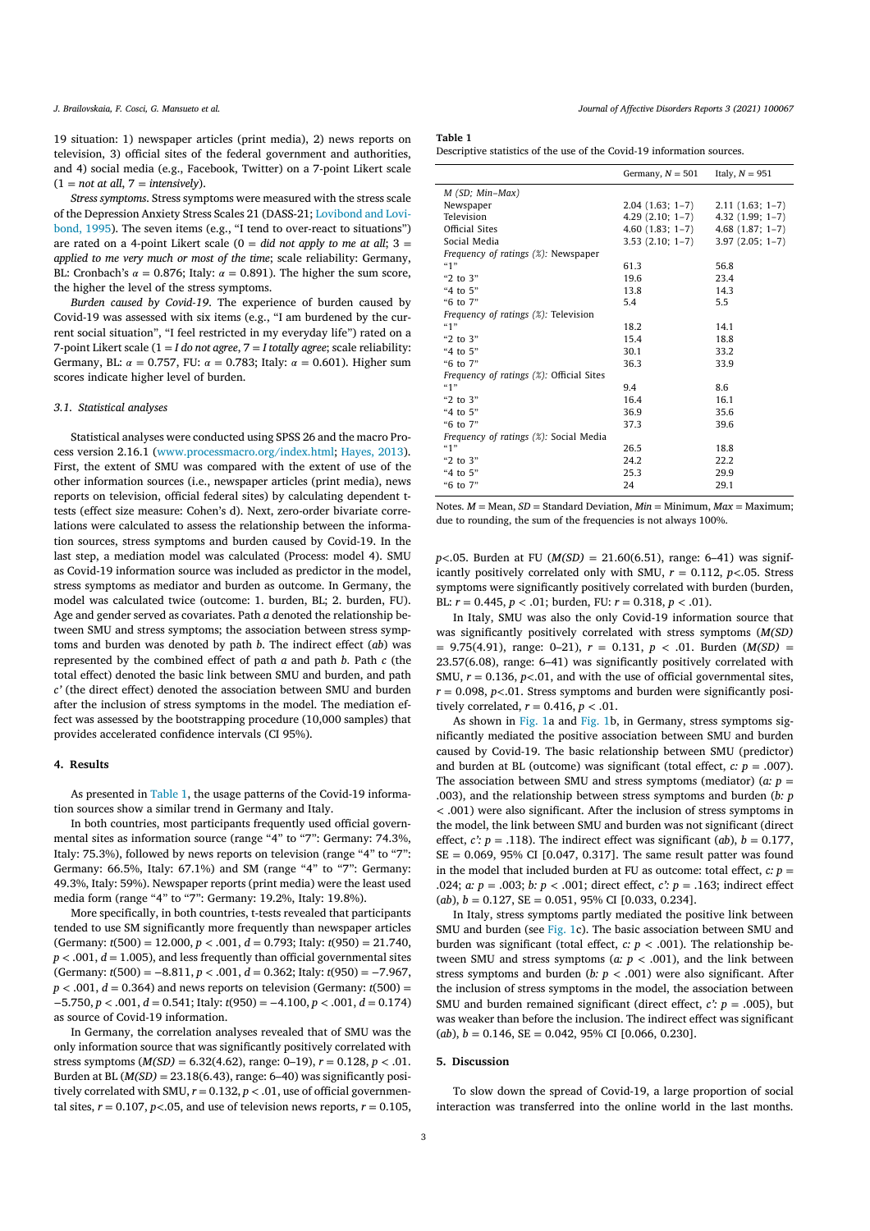19 situation: 1) newspaper articles (print media), 2) news reports on television, 3) official sites of the federal government and authorities, and 4) social media (e.g., Facebook, Twitter) on a 7-point Likert scale  $(1 = not at all, 7 = intensity)$ .

*Stress symptoms*. Stress symptoms were measured with the stress scale of the Depression Anxiety Stress Scales 21 (DASS-21; Lovibond and Lovibond, 1995). The seven items (e.g., "I tend to over-react to situations") are rated on a 4-point Likert scale  $(0 = did not apply to me at all; 3 =$ *applied to me very much or most of the time*; scale reliability: Germany, BL: Cronbach's  $\alpha = 0.876$ ; Italy:  $\alpha = 0.891$ ). The higher the sum score, the higher the level of the stress symptoms.

*Burden caused by Covid-19*. The experience of burden caused by Covid-19 was assessed with six items (e.g., "I am burdened by the current social situation", "I feel restricted in my everyday life") rated on a 7-point Likert scale (1 = *I do not agree*, 7 = *I totally agree*; scale reliability: Germany, BL:  $\alpha = 0.757$ , FU:  $\alpha = 0.783$ ; Italy:  $\alpha = 0.601$ ). Higher sum scores indicate higher level of burden.

# *3.1. Statistical analyses*

Statistical analyses were conducted using SPSS 26 and the macro Process version 2.16.1 (www.processmacro.org/index.html; Hayes, 2013). First, the extent of SMU was compared with the extent of use of the other information sources (i.e., newspaper articles (print media), news reports on television, official federal sites) by calculating dependent ttests (effect size measure: Cohen's d). Next, zero-order bivariate correlations were calculated to assess the relationship between the information sources, stress symptoms and burden caused by Covid-19. In the last step, a mediation model was calculated (Process: model 4). SMU as Covid-19 information source was included as predictor in the model, stress symptoms as mediator and burden as outcome. In Germany, the model was calculated twice (outcome: 1. burden, BL; 2. burden, FU). Age and gender served as covariates. Path *a* denoted the relationship between SMU and stress symptoms; the association between stress symptoms and burden was denoted by path *b*. The indirect effect (*ab*) was represented by the combined effect of path *a* and path *b*. Path *c* (the total effect) denoted the basic link between SMU and burden, and path *c'* (the direct effect) denoted the association between SMU and burden after the inclusion of stress symptoms in the model. The mediation effect was assessed by the bootstrapping procedure (10,000 samples) that provides accelerated confidence intervals (CI 95%).

### **4. Results**

As presented in Table 1, the usage patterns of the Covid-19 information sources show a similar trend in Germany and Italy.

In both countries, most participants frequently used official governmental sites as information source (range "4" to "7": Germany: 74.3%, Italy: 75.3%), followed by news reports on television (range "4" to "7": Germany: 66.5%, Italy: 67.1%) and SM (range "4" to "7": Germany: 49.3%, Italy: 59%). Newspaper reports (print media) were the least used media form (range "4" to "7": Germany: 19.2%, Italy: 19.8%).

More specifically, in both countries, t-tests revealed that participants tended to use SM significantly more frequently than newspaper articles (Germany: *t*(500) = 12.000, *p <* .001, *d* = 0.793; Italy: *t*(950) = 21.740,  $p < .001$ ,  $d = 1.005$ ), and less frequently than official governmental sites (Germany: *t*(500) = −8.811, *p <* .001, *d* = 0.362; Italy: *t*(950) = −7.967,  $p < .001$ ,  $d = 0.364$ ) and news reports on television (Germany:  $t(500) =$ −5.750, *p <* .001, *d* = 0.541; Italy: *t*(950) = −4.100, *p <* .001, *d* = 0.174) as source of Covid-19 information.

In Germany, the correlation analyses revealed that of SMU was the only information source that was significantly positively correlated with stress symptoms  $(M(SD) = 6.32(4.62)$ , range: 0–19),  $r = 0.128$ ,  $p < .01$ . Burden at BL (*M(SD)* = 23.18(6.43), range: 6–40) was significantly positively correlated with SMU,  $r = 0.132$ ,  $p < .01$ , use of official governmental sites,  $r = 0.107$ ,  $p < 0.05$ , and use of television news reports,  $r = 0.105$ ,

#### J. Brailovskaja, F. Cosci, G. Mansueto et al. (2021) 100067

#### **Table 1**

Descriptive statistics of the use of the Covid-19 information sources.

|                                                  | Germany, $N = 501$ | Italy, $N = 951$   |
|--------------------------------------------------|--------------------|--------------------|
| M (SD; Min-Max)                                  |                    |                    |
| Newspaper                                        | $2.04(1.63; 1-7)$  | $2.11(1.63; 1-7)$  |
| Television                                       | $4.29(2.10; 1-7)$  | $4.32(1.99; 1-7)$  |
| Official Sites                                   | $4.60(1.83; 1-7)$  | $4.68$ (1.87; 1-7) |
| Social Media                                     | $3.53(2.10; 1-7)$  | $3.97(2.05; 1-7)$  |
| Frequency of ratings (%): Newspaper              |                    |                    |
| 49                                               | 61.3               | 56.8               |
| "2 to $3"$                                       | 19.6               | 23.4               |
| "4 to 5"                                         | 13.8               | 14.3               |
| "6 to 7"                                         | 5.4                | 5.5                |
| Frequency of ratings (%). Television             |                    |                    |
| 41"                                              | 18.2               | 14.1               |
| " $2$ to $3"$                                    | 15.4               | 18.8               |
| "4 to 5"                                         | 30.1               | 33.2               |
| " $6$ to $7"$                                    | 36.3               | 33.9               |
| <i>Frequency of ratings (%)</i> : Official Sites |                    |                    |
| 41"                                              | 9.4                | 8.6                |
| "2 to 3"                                         | 16.4               | 16.1               |
| "4 to 5"                                         | 36.9               | 35.6               |
| " $6$ to $7"$                                    | 37.3               | 39.6               |
| Frequency of ratings (%): Social Media           |                    |                    |
| 41"                                              | 26.5               | 18.8               |
| "2 to 3"                                         | 24.2               | 22.2               |
| "4 to $5$ "                                      | 25.3               | 29.9               |
| "6 to 7"                                         | 24                 | 29.1               |

Notes,  $M = \text{Mean}$ ,  $SD = \text{Standard Deviation}$ ,  $Min = \text{Minimum}$ ,  $Max = \text{Maximum}$ ; due to rounding, the sum of the frequencies is not always 100%.

*p*<.05. Burden at FU ( $M(SD) = 21.60(6.51)$ , range: 6–41) was significantly positively correlated only with SMU, *r* = 0.112, *p<*.05. Stress symptoms were significantly positively correlated with burden (burden, BL: *r* = 0.445, *p <* .01; burden, FU: *r* = 0.318, *p <* .01).

In Italy, SMU was also the only Covid-19 information source that was significantly positively correlated with stress symptoms (*M(SD)* = 9.75(4.91), range: 0–21), *r* = 0.131, *p <* .01. Burden (*M(SD)* = 23.57(6.08), range: 6–41) was significantly positively correlated with SMU,  $r = 0.136$ ,  $p < 0.01$ , and with the use of official governmental sites,  $r = 0.098$ ,  $p < 01$ . Stress symptoms and burden were significantly positively correlated,  $r = 0.416$ ,  $p < .01$ .

As shown in Fig. 1a and Fig. 1b, in Germany, stress symptoms significantly mediated the positive association between SMU and burden caused by Covid-19. The basic relationship between SMU (predictor) and burden at BL (outcome) was significant (total effect,  $c: p = .007$ ). The association between SMU and stress symptoms (mediator) ( $a$ :  $p =$ .003), and the relationship between stress symptoms and burden (*b: p <* .001) were also significant. After the inclusion of stress symptoms in the model, the link between SMU and burden was not significant (direct effect,  $c$ :  $p = .118$ ). The indirect effect was significant (*ab*),  $b = 0.177$ ,  $SE = 0.069$ , 95% CI [0.047, 0.317]. The same result patter was found in the model that included burden at FU as outcome: total effect,  $c: p =$ .024; *a: p* = .003; *b: p <* .001; direct effect, *c': p* = .163; indirect effect  $(a,b)$ ,  $b = 0.127$ ,  $SE = 0.051$ ,  $95\%$  CI [0.033, 0.234].

In Italy, stress symptoms partly mediated the positive link between SMU and burden (see Fig. 1c). The basic association between SMU and burden was significant (total effect,  $c: p < .001$ ). The relationship between SMU and stress symptoms ( $a: p < .001$ ), and the link between stress symptoms and burden ( $b$ :  $p$  < .001) were also significant. After the inclusion of stress symptoms in the model, the association between SMU and burden remained significant (direct effect,  $c$ :  $p = .005$ ), but was weaker than before the inclusion. The indirect effect was significant  $(ab)$ ,  $b = 0.146$ ,  $SE = 0.042$ ,  $95\%$  CI  $[0.066, 0.230]$ .

### **5. Discussion**

To slow down the spread of Covid-19, a large proportion of social interaction was transferred into the online world in the last months.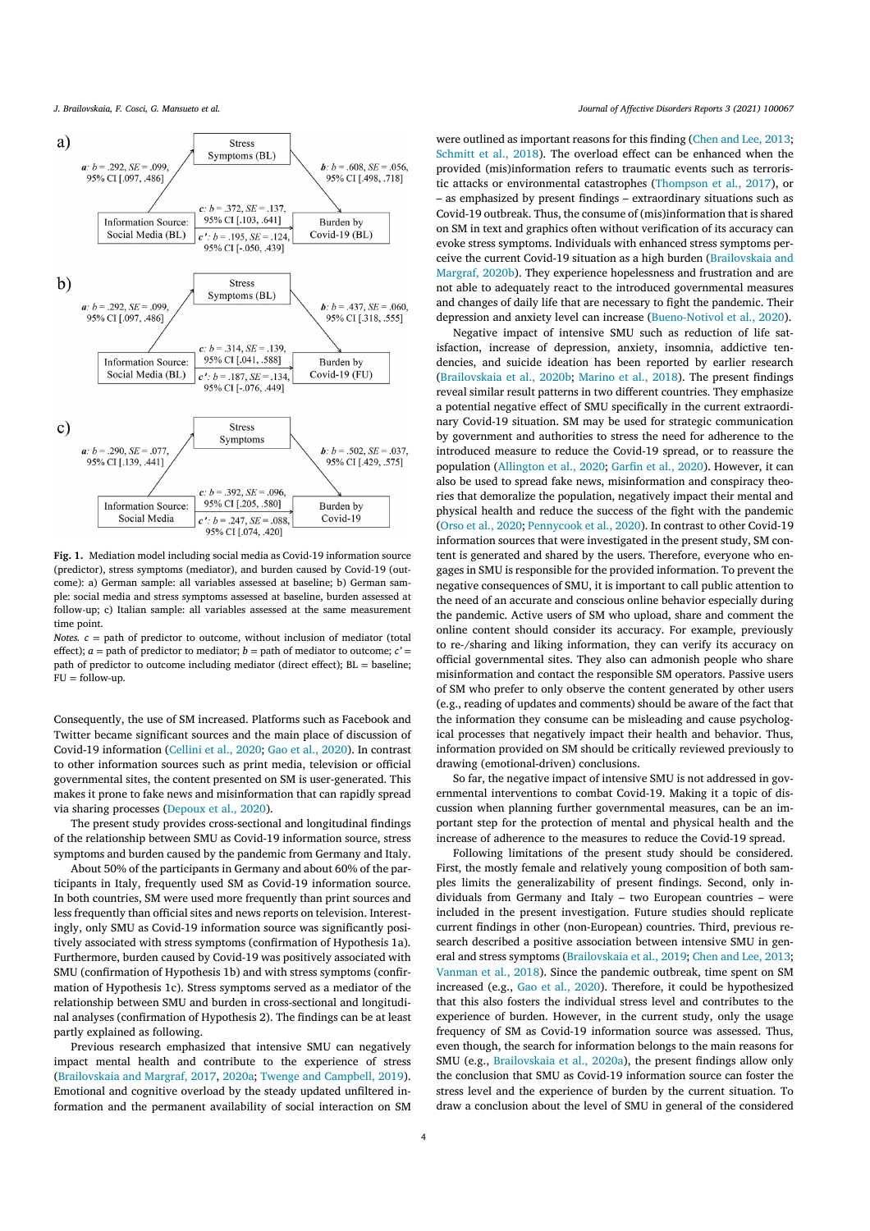

**Fig. 1.** Mediation model including social media as Covid-19 information source (predictor), stress symptoms (mediator), and burden caused by Covid-19 (outcome): a) German sample: all variables assessed at baseline; b) German sample: social media and stress symptoms assessed at baseline, burden assessed at follow-up; c) Italian sample: all variables assessed at the same measurement time point.

*Notes.*  $c =$  path of predictor to outcome, without inclusion of mediator (total effect);  $a =$  path of predictor to mediator;  $b =$  path of mediator to outcome;  $c' =$ path of predictor to outcome including mediator (direct effect); BL = baseline;  $FU = follow$ -up.

Consequently, the use of SM increased. Platforms such as Facebook and Twitter became significant sources and the main place of discussion of Covid-19 information (Cellini et al., 2020; Gao et al., 2020). In contrast to other information sources such as print media, television or official governmental sites, the content presented on SM is user-generated. This makes it prone to fake news and misinformation that can rapidly spread via sharing processes (Depoux et al., 2020).

The present study provides cross-sectional and longitudinal findings of the relationship between SMU as Covid-19 information source, stress symptoms and burden caused by the pandemic from Germany and Italy.

About 50% of the participants in Germany and about 60% of the participants in Italy, frequently used SM as Covid-19 information source. In both countries, SM were used more frequently than print sources and less frequently than official sites and news reports on television. Interestingly, only SMU as Covid-19 information source was significantly positively associated with stress symptoms (confirmation of Hypothesis 1a). Furthermore, burden caused by Covid-19 was positively associated with SMU (confirmation of Hypothesis 1b) and with stress symptoms (confirmation of Hypothesis 1c). Stress symptoms served as a mediator of the relationship between SMU and burden in cross-sectional and longitudinal analyses (confirmation of Hypothesis 2). The findings can be at least partly explained as following.

Previous research emphasized that intensive SMU can negatively impact mental health and contribute to the experience of stress (Brailovskaia and Margraf, 2017, 2020a; Twenge and Campbell, 2019). Emotional and cognitive overload by the steady updated unfiltered information and the permanent availability of social interaction on SM

were outlined as important reasons for this finding (Chen and Lee, 2013; Schmitt et al., 2018). The overload effect can be enhanced when the provided (mis)information refers to traumatic events such as terroristic attacks or environmental catastrophes (Thompson et al., 2017), or – as emphasized by present findings – extraordinary situations such as Covid-19 outbreak. Thus, the consume of (mis)information that isshared on SM in text and graphics often without verification of its accuracy can evoke stress symptoms. Individuals with enhanced stress symptoms perceive the current Covid-19 situation as a high burden (Brailovskaia and Margraf, 2020b). They experience hopelessness and frustration and are not able to adequately react to the introduced governmental measures and changes of daily life that are necessary to fight the pandemic. Their depression and anxiety level can increase (Bueno-Notivol et al., 2020).

Negative impact of intensive SMU such as reduction of life satisfaction, increase of depression, anxiety, insomnia, addictive tendencies, and suicide ideation has been reported by earlier research (Brailovskaia et al., 2020b; Marino et al., 2018). The present findings reveal similar result patterns in two different countries. They emphasize a potential negative effect of SMU specifically in the current extraordinary Covid-19 situation. SM may be used for strategic communication by government and authorities to stress the need for adherence to the introduced measure to reduce the Covid-19 spread, or to reassure the population (Allington et al., 2020; Garfin et al., 2020). However, it can also be used to spread fake news, misinformation and conspiracy theories that demoralize the population, negatively impact their mental and physical health and reduce the success of the fight with the pandemic (Orso et al., 2020; Pennycook et al., 2020). In contrast to other Covid-19 information sources that were investigated in the present study, SM content is generated and shared by the users. Therefore, everyone who engages in SMU is responsible for the provided information. To prevent the negative consequences of SMU, it is important to call public attention to the need of an accurate and conscious online behavior especially during the pandemic. Active users of SM who upload, share and comment the online content should consider its accuracy. For example, previously to re-/sharing and liking information, they can verify its accuracy on official governmental sites. They also can admonish people who share misinformation and contact the responsible SM operators. Passive users of SM who prefer to only observe the content generated by other users (e.g., reading of updates and comments) should be aware of the fact that the information they consume can be misleading and cause psychological processes that negatively impact their health and behavior. Thus, information provided on SM should be critically reviewed previously to drawing (emotional-driven) conclusions.

So far, the negative impact of intensive SMU is not addressed in governmental interventions to combat Covid-19. Making it a topic of discussion when planning further governmental measures, can be an important step for the protection of mental and physical health and the increase of adherence to the measures to reduce the Covid-19 spread.

Following limitations of the present study should be considered. First, the mostly female and relatively young composition of both samples limits the generalizability of present findings. Second, only individuals from Germany and Italy – two European countries – were included in the present investigation. Future studies should replicate current findings in other (non-European) countries. Third, previous research described a positive association between intensive SMU in general and stress symptoms (Brailovskaia et al., 2019; Chen and Lee, 2013; Vanman et al., 2018). Since the pandemic outbreak, time spent on SM increased (e.g., Gao et al., 2020). Therefore, it could be hypothesized that this also fosters the individual stress level and contributes to the experience of burden. However, in the current study, only the usage frequency of SM as Covid-19 information source was assessed. Thus, even though, the search for information belongs to the main reasons for SMU (e.g., Brailovskaia et al., 2020a), the present findings allow only the conclusion that SMU as Covid-19 information source can foster the stress level and the experience of burden by the current situation. To draw a conclusion about the level of SMU in general of the considered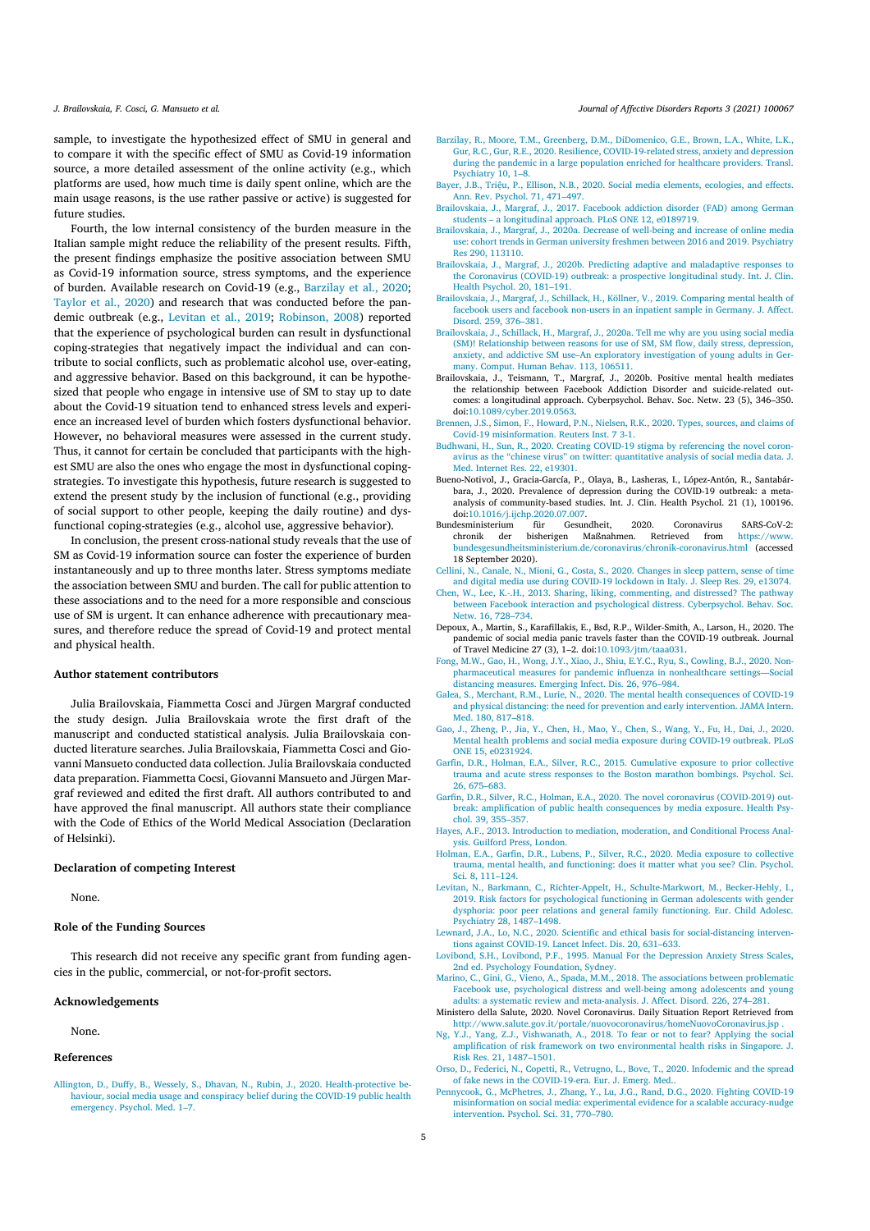sample, to investigate the hypothesized effect of SMU in general and to compare it with the specific effect of SMU as Covid-19 information source, a more detailed assessment of the online activity (e.g., which platforms are used, how much time is daily spent online, which are the main usage reasons, is the use rather passive or active) is suggested for future studies.

Fourth, the low internal consistency of the burden measure in the Italian sample might reduce the reliability of the present results. Fifth, the present findings emphasize the positive association between SMU as Covid-19 information source, stress symptoms, and the experience of burden. Available research on Covid-19 (e.g., Barzilay et al., 2020; Taylor et al., 2020) and research that was conducted before the pandemic outbreak (e.g., Levitan et al., 2019; Robinson, 2008) reported that the experience of psychological burden can result in dysfunctional coping-strategies that negatively impact the individual and can contribute to social conflicts, such as problematic alcohol use, over-eating, and aggressive behavior. Based on this background, it can be hypothesized that people who engage in intensive use of SM to stay up to date about the Covid-19 situation tend to enhanced stress levels and experience an increased level of burden which fosters dysfunctional behavior. However, no behavioral measures were assessed in the current study. Thus, it cannot for certain be concluded that participants with the highest SMU are also the ones who engage the most in dysfunctional copingstrategies. To investigate this hypothesis, future research is suggested to extend the present study by the inclusion of functional (e.g., providing of social support to other people, keeping the daily routine) and dysfunctional coping-strategies (e.g., alcohol use, aggressive behavior).

In conclusion, the present cross-national study reveals that the use of SM as Covid-19 information source can foster the experience of burden instantaneously and up to three months later. Stress symptoms mediate the association between SMU and burden. The call for public attention to these associations and to the need for a more responsible and conscious use of SM is urgent. It can enhance adherence with precautionary measures, and therefore reduce the spread of Covid-19 and protect mental and physical health.

## **Author statement contributors**

Julia Brailovskaia, Fiammetta Cosci and Jürgen Margraf conducted the study design. Julia Brailovskaia wrote the first draft of the manuscript and conducted statistical analysis. Julia Brailovskaia conducted literature searches. Julia Brailovskaia, Fiammetta Cosci and Giovanni Mansueto conducted data collection. Julia Brailovskaia conducted data preparation. Fiammetta Cocsi, Giovanni Mansueto and Jürgen Margraf reviewed and edited the first draft. All authors contributed to and have approved the final manuscript. All authors state their compliance with the Code of Ethics of the World Medical Association (Declaration of Helsinki).

#### **Declaration of competing Interest**

None.

### **Role of the Funding Sources**

This research did not receive any specific grant from funding agencies in the public, commercial, or not-for-profit sectors.

#### **Acknowledgements**

None.

#### **References**

Allington, D., Duffy, B., Wessely, S., Dhavan, N., Rubin, J., 2020. Health-protective behaviour, social media usage and conspiracy belief during the COVID-19 public health emergency. Psychol. Med. 1–7.

#### J. Brailovskaja, F. Cosci. G. Mansueto et al. (2021) 100067

- Barzilay, R., Moore, T.M., Greenberg, D.M., DiDomenico, G.E., Brown, L.A., White, L.K., Gur, R.C., Gur, R.E., 2020. Resilience, COVID-19-related stress, anxiety and depres during the pandemic in a large population enriched for healthcare providers. Transl. Psychiatry 10, 1–8.
- Bayer, J.B., Triệu, P., Ellison, N.B., 2020. Social media elements, ecologies, and effects. Ann. Rev. Psychol. 71, 471–497.
- Brailovskaia, J., Margraf, J., 2017. Facebook addiction disorder (FAD) among German students – a longitudinal approach. PLoS ONE 12, e0189719.
- Brailovskaia, J., Margraf, J., 2020a. Decrease of well-being and increase of online media use: cohort trends in German university freshmen between 2016 and 2019. Psychiatry Res 290, 113110.
- Brailovskaia, J., Margraf, J., 2020b. Predicting adaptive and maladaptive responses to the Coronavirus (COVID-19) outbreak: a prospective longitudinal study. Int. J. Clin. Health Psychol. 20, 181–191.
- Brailovskaia, J., Margraf, J., Schillack, H., Köllner, V., 2019. Comparing mental health of facebook users and facebook non-users in an inpatient sample in Germany. J. Affect. Disord. 259, 376–381.
- Brailovskaia, J., Schillack, H., Margraf, J., 2020a. Tell me why are you using social media (SM)! Relationship between reasons for use of SM, SM flow, daily stress, depression, anxiety, and addictive SM use–An exploratory investigation of young adults in Germany, Comput. Human Behav. 113, 106511.
- Brailovskaia, J., Teismann, T., Margraf, J., 2020b. Positive mental health mediates the relationship between Facebook Addiction Disorder and suicide-related outcomes: a longitudinal approach. Cyberpsychol. Behav. Soc. Netw. 23 (5), 346–350. doi:10.1089/cyber.2019.0563.
- Brennen, J.S., Simon, F., Howard, P.N., Nielsen, R.K., 2020. Types, sources, and claims of Covid-19 misinformation. Reuters Inst. 7 3-1.
- Budhwani, H., Sun, R., 2020. Creating COVID-19 stigma by referencing the novel coronavirus as the "chinese virus" on twitter: quantitative analysis of social media data. J. Med. Internet Res. 22, e19301.
- Bueno-Notivol, J., Gracia-García, P., Olaya, B., Lasheras, I., López-Antón, R., Santabárbara, J., 2020. Prevalence of depression during the COVID-19 outbreak: a metaanalysis of community-based studies. Int. J. Clin. Health Psychol. 21 (1), 100196. doi:10.1016/j.ijchp.2020.07.007.<br>desministerium für Gesundheit,
- Bundesministerium für Gesundheit, 2020. Coronavirus SARS-CoV-2: Retrieved from bundesgesundheitsministerium.de/coronavirus/chronik-coronavirus.html (accessed 18 September 2020).
- Cellini, N., Canale, N., Mioni, G., Costa, S., 2020. Changes in sleep pattern, sense of time and digital media use during COVID-19 lockdown in Italy. J. Sleep Res. 29, e13074.
- Chen, W., Lee, K.-.H., 2013. Sharing, liking, commenting, and distressed? The pathway between Facebook interaction and psychological distress. Cyberpsychol. Behav. Soc. Netw. 16, 728–734.
- Depoux, A., Martin, S., Karafillakis, E., Bsd, R.P., Wilder-Smith, A., Larson, H., 2020. The pandemic of social media panic travels faster than the COVID-19 outbreak. Journal of Travel Medicine 27 (3), 1–2. doi:10.1093/jtm/taaa031.
- Fong, M.W., Gao, H., Wong, J.Y., Xiao, J., Shiu, E.Y.C., Ryu, S., Cowling, B.J., 2020. Nonpharmaceutical measures for pandemic influenza in nonhealthcare settings—Social distancing measures. Emerging Infect. Dis. 26, 976–984.
- Galea, S., Merchant, R.M., Lurie, N., 2020. The mental health consequences of COVID-19 and physical distancing: the need for prevention and early intervention. JAMA Intern. Med. 180, 817–818.
- Gao, J., Zheng, P., Jia, Y., Chen, H., Mao, Y., Chen, S., Wang, Y., Fu, H., Dai, J., 2020. Mental health problems and social media exposure during COVID-19 outbreak. PLoS ONE 15, e0231924.
- Garfin, D.R., Holman, E.A., Silver, R.C., 2015. Cumulative exposure to prior collective trauma and acute stress responses to the Boston marathon bombings. Psychol. Sci. 26, 675–683.
- Garfin, D.R., Silver, R.C., Holman, E.A., 2020. The novel coronavirus (COVID-2019) outbreak: amplification of public health consequences by media exposure. Health Psychol. 39, 355–357.
- Hayes, A.F., 2013. Introduction to mediation, moderation, and Conditional Process Analysis. Guilford Press, London.
- Holman, E.A., Garfin, D.R., Lubens, P., Silver, R.C., 2020. Media exposure to collective trauma, mental health, and functioning: does it matter what you see? Clin. Psychol. Sci. 8, 111–124.
- Levitan, N., Barkmann, C., Richter-Appelt, H., Schulte-Markwort, M., Becker-Hebly, I., 2019. Risk factors for psychological functioning in German adolescents with gender dysphoria: poor peer relations and general family functioning. Eur. Child Adolesc. Psychiatry 28, 1487–1498.
- Lewnard, J.A., Lo, N.C., 2020. Scientific and ethical basis for social-distancing interventions against COVID-19. Lancet Infect. Dis. 20, 631–633.
- Lovibond, S.H., Lovibond, P.F., 1995. Manual For the Depression Anxiety Stress Scales, 2nd ed. Psychology Foundation, Sydney. Marino, C., Gini, G., Vieno, A., Spada, M.M., 2018. The associations between problematic
- Facebook use, psychological distress and well-being among adolescents and young adults: a systematic review and meta-analysis. J. Affect. Disord. 226, 274–281.
- Ministero della Salute, 2020. Novel Coronavirus. Daily Situation Report Retrieved from http://www.salute.gov.it/portale/nuovocoronavirus/homeNuovoCoronavirus.jsp .
- Ng, Y.J., Yang, Z.J., Vishwanath, A., 2018. To fear or not to fear? Applying the social amplification of risk framework on two environmental health risks in Singapore. J. Risk Res. 21, 1487–1501.
- Orso, D., Federici, N., Copetti, R., Vetrugno, L., Bove, T., 2020. Infodemic and the spread of fake news in the COVID-19-era. Eur. J. Emerg. Med..
- Pennycook, G., McPhetres, J., Zhang, Y., Lu, J.G., Rand, D.G., 2020. Fighting COVID-19 misinformation on social media: experimental evidence for a scalable accuracy-nudge intervention. Psychol. Sci. 31, 770–780.